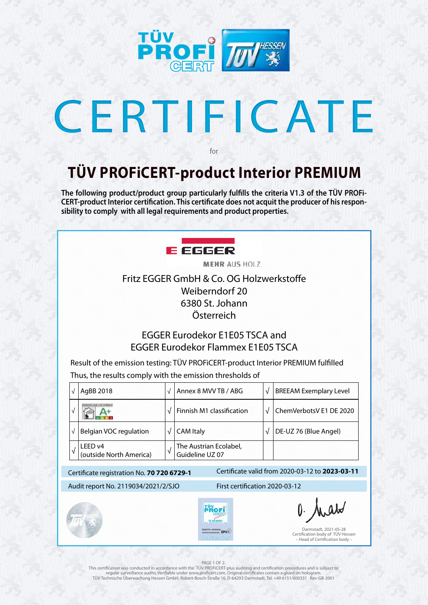

# CERTIFICATE

Darmstadt, 2021-05-28 Certification body of TÜV Hessen – Head of Certification body –

### **TÜV PROFiCERT-product Interior PREMIUM**

for

**The following product/product group particularly fulfills the criteria V1.3 of the TÜV PROFi-CERT-product Interior certification. This certificate does not acquit the producer of his responsibility to comply with all legal requirements and product properties.** 



**MEHR AUS HOLZ.** 

### PAGE 1 OF 2.

|            | AgBB 2018                                  | $\sqrt{}$ | Annex 8 MVV TB / ABG                      | $\sqrt{ }$                     | <b>BREEAM Exemplary Level</b>                   |  |
|------------|--------------------------------------------|-----------|-------------------------------------------|--------------------------------|-------------------------------------------------|--|
|            |                                            | $\sqrt{}$ | Finnish M1 classification                 |                                | ChemVerbotsV E1 DE 2020                         |  |
| $\sqrt{ }$ | <b>Belgian VOC regulation</b>              | V         | <b>CAM Italy</b>                          |                                | DE-UZ 76 (Blue Angel)                           |  |
|            | LEED v4<br>(outside North America)         | $\sqrt{}$ | The Austrian Ecolabel,<br>Guideline UZ 07 |                                |                                                 |  |
|            | Certificate registration No. 70 720 6729-1 |           |                                           |                                | Certificate valid from 2020-03-12 to 2023-03-11 |  |
|            | Audit report No. 2119034/2021/2/SJO        |           |                                           | First certification 2020-03-12 |                                                 |  |





O. Arabo

This certification was conducted in accordance with the TÜV PROFiCERT-plus auditing and certification procedures and is subject to regular surveillance audits. Verifiable under www.proficert.com. Original certificates contain a glued on hologram. TÜV Technische Überwachung Hessen GmbH, Robert-Bosch-Straße 16, D-64293 Darmstadt, Tel. +49 6151/600331 Rev-GB-2001

Fritz EGGER GmbH & Co. OG Holzwerkstoffe Weiberndorf 20 6380 St. Johann Österreich

### EGGER Eurodekor E1E05 TSCA and EGGER Eurodekor Flammex E1E05 TSCA

Result of the emission testing: TÜV PROFiCERT-product Interior PREMIUM fulfilled Thus, the results comply with the emission thresholds of